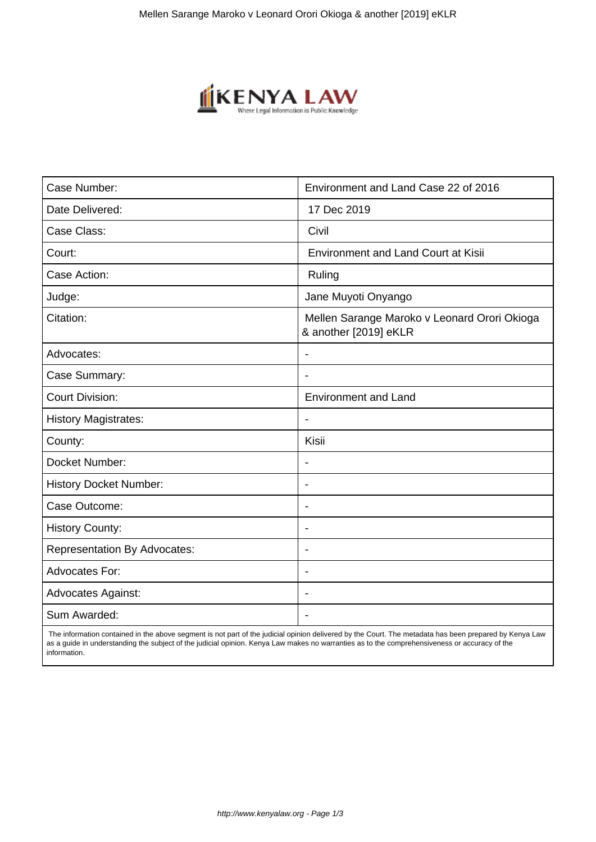

| Case Number:                        | Environment and Land Case 22 of 2016                                  |
|-------------------------------------|-----------------------------------------------------------------------|
| Date Delivered:                     | 17 Dec 2019                                                           |
| Case Class:                         | Civil                                                                 |
| Court:                              | <b>Environment and Land Court at Kisii</b>                            |
| Case Action:                        | Ruling                                                                |
| Judge:                              | Jane Muyoti Onyango                                                   |
| Citation:                           | Mellen Sarange Maroko v Leonard Orori Okioga<br>& another [2019] eKLR |
| Advocates:                          |                                                                       |
| Case Summary:                       |                                                                       |
| <b>Court Division:</b>              | <b>Environment and Land</b>                                           |
| <b>History Magistrates:</b>         | $\blacksquare$                                                        |
| County:                             | Kisii                                                                 |
| Docket Number:                      |                                                                       |
| <b>History Docket Number:</b>       | $\overline{\phantom{a}}$                                              |
| Case Outcome:                       |                                                                       |
| <b>History County:</b>              | $\blacksquare$                                                        |
| <b>Representation By Advocates:</b> | ÷.                                                                    |
| Advocates For:                      | ÷                                                                     |
| <b>Advocates Against:</b>           |                                                                       |
| Sum Awarded:                        |                                                                       |

 The information contained in the above segment is not part of the judicial opinion delivered by the Court. The metadata has been prepared by Kenya Law as a guide in understanding the subject of the judicial opinion. Kenya Law makes no warranties as to the comprehensiveness or accuracy of the information.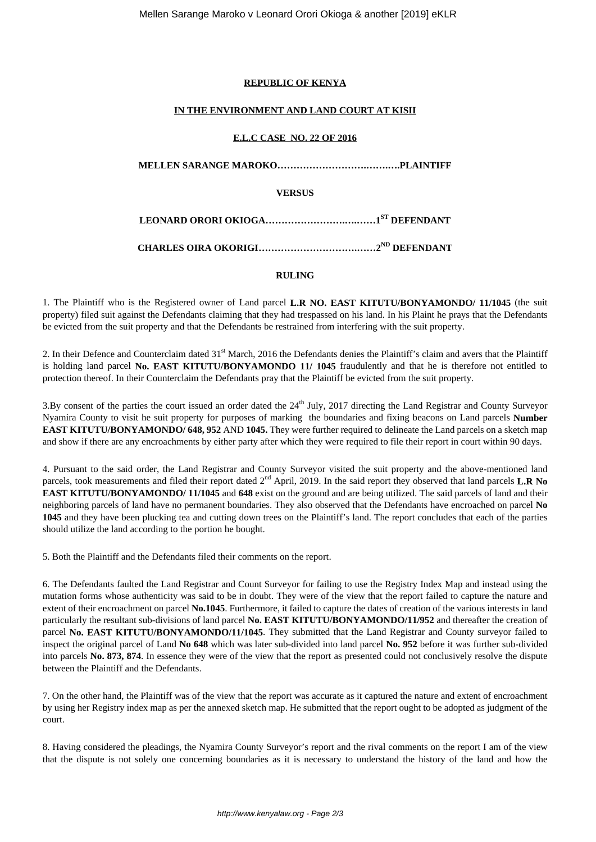## **REPUBLIC OF KENYA**

#### **IN THE ENVIRONMENT AND LAND COURT AT KISII**

### **E.L.C CASE NO. 22 OF 2016**

**MELLEN SARANGE MAROKO……………………….…….….PLAINTIFF**

**VERSUS**

**LEONARD ORORI OKIOGA…………………….….……1ST DEFENDANT**

**CHARLES OIRA OKORIGI………………………….……2ND DEFENDANT**

# **RULING**

1. The Plaintiff who is the Registered owner of Land parcel **L.R NO. EAST KITUTU/BONYAMONDO/ 11/1045** (the suit property) filed suit against the Defendants claiming that they had trespassed on his land. In his Plaint he prays that the Defendants be evicted from the suit property and that the Defendants be restrained from interfering with the suit property.

2. In their Defence and Counterclaim dated 31<sup>st</sup> March, 2016 the Defendants denies the Plaintiff's claim and avers that the Plaintiff is holding land parcel **No. EAST KITUTU/BONYAMONDO 11/ 1045** fraudulently and that he is therefore not entitled to protection thereof. In their Counterclaim the Defendants pray that the Plaintiff be evicted from the suit property.

3.By consent of the parties the court issued an order dated the 24<sup>th</sup> July, 2017 directing the Land Registrar and County Surveyor Nyamira County to visit he suit property for purposes of marking the boundaries and fixing beacons on Land parcels **Number EAST KITUTU/BONYAMONDO/ 648, 952** AND **1045.** They were further required to delineate the Land parcels on a sketch map and show if there are any encroachments by either party after which they were required to file their report in court within 90 days.

4. Pursuant to the said order, the Land Registrar and County Surveyor visited the suit property and the above-mentioned land parcels, took measurements and filed their report dated 2<sup>nd</sup> April, 2019. In the said report they observed that land parcels **L.R No EAST KITUTU/BONYAMONDO/ 11/1045** and **648** exist on the ground and are being utilized. The said parcels of land and their neighboring parcels of land have no permanent boundaries. They also observed that the Defendants have encroached on parcel **No 1045** and they have been plucking tea and cutting down trees on the Plaintiff's land. The report concludes that each of the parties should utilize the land according to the portion he bought.

5. Both the Plaintiff and the Defendants filed their comments on the report.

6. The Defendants faulted the Land Registrar and Count Surveyor for failing to use the Registry Index Map and instead using the mutation forms whose authenticity was said to be in doubt. They were of the view that the report failed to capture the nature and extent of their encroachment on parcel **No.1045**. Furthermore, it failed to capture the dates of creation of the various interests in land particularly the resultant sub-divisions of land parcel **No. EAST KITUTU/BONYAMONDO/11/952** and thereafter the creation of parcel **No. EAST KITUTU/BONYAMONDO/11/1045**. They submitted that the Land Registrar and County surveyor failed to inspect the original parcel of Land **No 648** which was later sub-divided into land parcel **No. 952** before it was further sub-divided into parcels **No. 873, 874**. In essence they were of the view that the report as presented could not conclusively resolve the dispute between the Plaintiff and the Defendants.

7. On the other hand, the Plaintiff was of the view that the report was accurate as it captured the nature and extent of encroachment by using her Registry index map as per the annexed sketch map. He submitted that the report ought to be adopted as judgment of the court.

8. Having considered the pleadings, the Nyamira County Surveyor's report and the rival comments on the report I am of the view that the dispute is not solely one concerning boundaries as it is necessary to understand the history of the land and how the